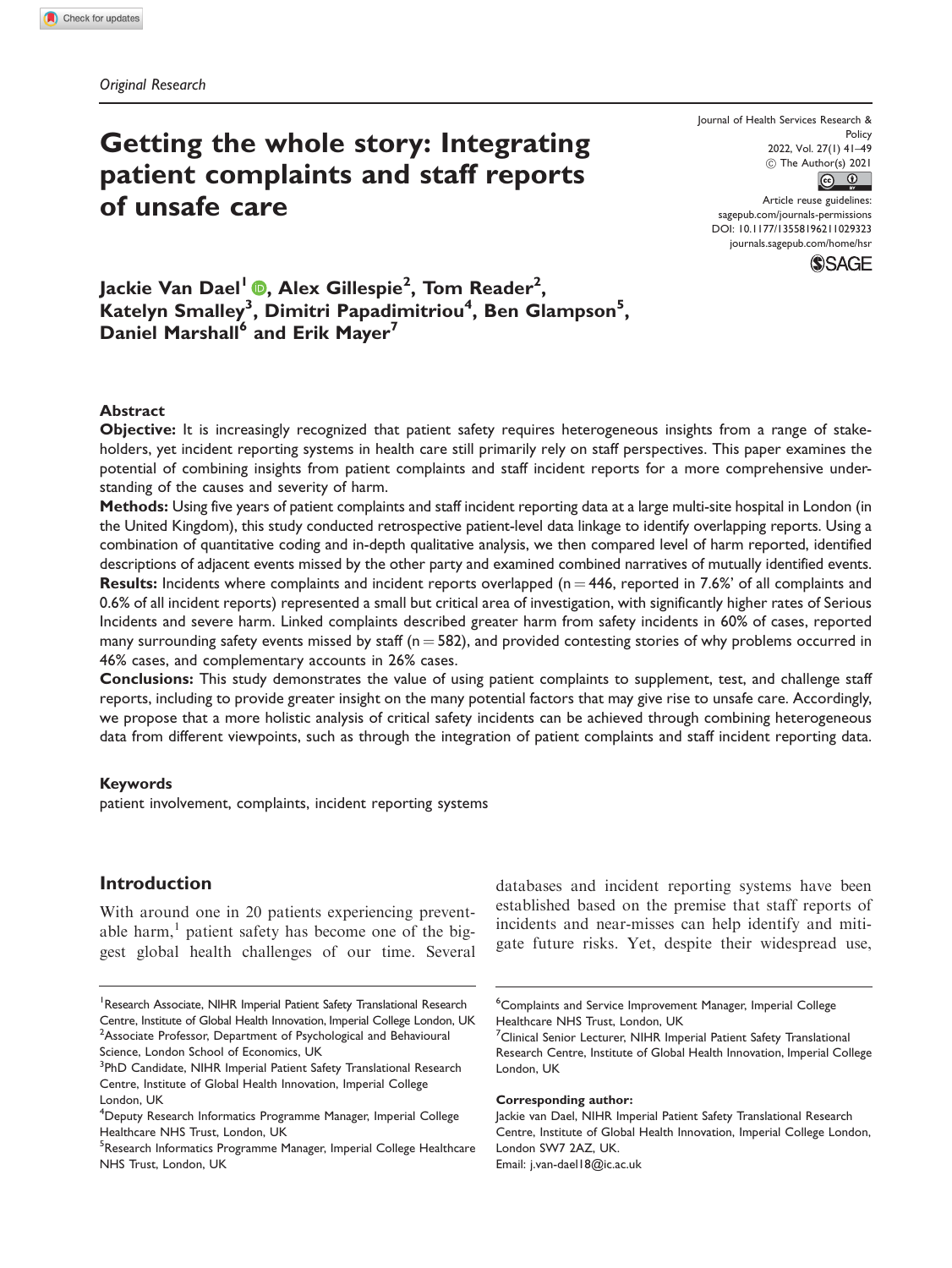# Getting the whole story: Integrating patient complaints and staff reports of unsafe care

2022, Vol. 27(1) 41–49 Journal of Health Services Research & Policy  $\circled{c}$  The Author(s) 2021 Article reuse guidelines:

sagepub.com/journals-permissions DOI: 10.1177/13558196211029323 journals.sagepub.com/home/hsr



Jackie Van Dael<sup>l</sup> ®, Alex Gillespie<sup>2</sup>, Tom Reader<sup>2</sup>,  ${\sf K}$ atelyn Smalley $^3$ , Dimitri Papadimitriou $^4$ , Ben Glampson $^5,$ Daniel Marshall<sup>6</sup> and Erik Mayer<sup>7</sup>

# Abstract

Objective: It is increasingly recognized that patient safety requires heterogeneous insights from a range of stakeholders, yet incident reporting systems in health care still primarily rely on staff perspectives. This paper examines the potential of combining insights from patient complaints and staff incident reports for a more comprehensive understanding of the causes and severity of harm.

Methods: Using five years of patient complaints and staff incident reporting data at a large multi-site hospital in London (in the United Kingdom), this study conducted retrospective patient-level data linkage to identify overlapping reports. Using a combination of quantitative coding and in-depth qualitative analysis, we then compared level of harm reported, identified descriptions of adjacent events missed by the other party and examined combined narratives of mutually identified events. **Results:** Incidents where complaints and incident reports overlapped ( $n = 446$ , reported in 7.6%' of all complaints and 0.6% of all incident reports) represented a small but critical area of investigation, with significantly higher rates of Serious Incidents and severe harm. Linked complaints described greater harm from safety incidents in 60% of cases, reported many surrounding safety events missed by staff ( $n = 582$ ), and provided contesting stories of why problems occurred in 46% cases, and complementary accounts in 26% cases.

Conclusions: This study demonstrates the value of using patient complaints to supplement, test, and challenge staff reports, including to provide greater insight on the many potential factors that may give rise to unsafe care. Accordingly, we propose that a more holistic analysis of critical safety incidents can be achieved through combining heterogeneous data from different viewpoints, such as through the integration of patient complaints and staff incident reporting data.

#### Keywords

patient involvement, complaints, incident reporting systems

# Introduction

With around one in 20 patients experiencing preventable harm, $<sup>1</sup>$  patient safety has become one of the big-</sup> gest global health challenges of our time. Several

<sup>1</sup> Research Associate, NIHR Imperial Patient Safety Translational Research Centre, Institute of Global Health Innovation, Imperial College London, UK <sup>2</sup> Associate Professor, Department of Psychological and Behavioural Science, London School of Economics, UK

databases and incident reporting systems have been established based on the premise that staff reports of incidents and near-misses can help identify and mitigate future risks. Yet, despite their widespread use,

#### Corresponding author:

Email: j.van-dael18@ic.ac.uk

<sup>&</sup>lt;sup>3</sup>PhD Candidate, NIHR Imperial Patient Safety Translational Research Centre, Institute of Global Health Innovation, Imperial College London, UK

<sup>&</sup>lt;sup>4</sup>Deputy Research Informatics Programme Manager, Imperial College Healthcare NHS Trust, London, UK

<sup>&</sup>lt;sup>5</sup>Research Informatics Programme Manager, Imperial College Healthcare NHS Trust, London, UK

<sup>6</sup> Complaints and Service Improvement Manager, Imperial College Healthcare NHS Trust, London, UK

<sup>&</sup>lt;sup>7</sup> Clinical Senior Lecturer, NIHR Imperial Patient Safety Translational Research Centre, Institute of Global Health Innovation, Imperial College London, UK

Jackie van Dael, NIHR Imperial Patient Safety Translational Research Centre, Institute of Global Health Innovation, Imperial College London, London SW7 2AZ, UK.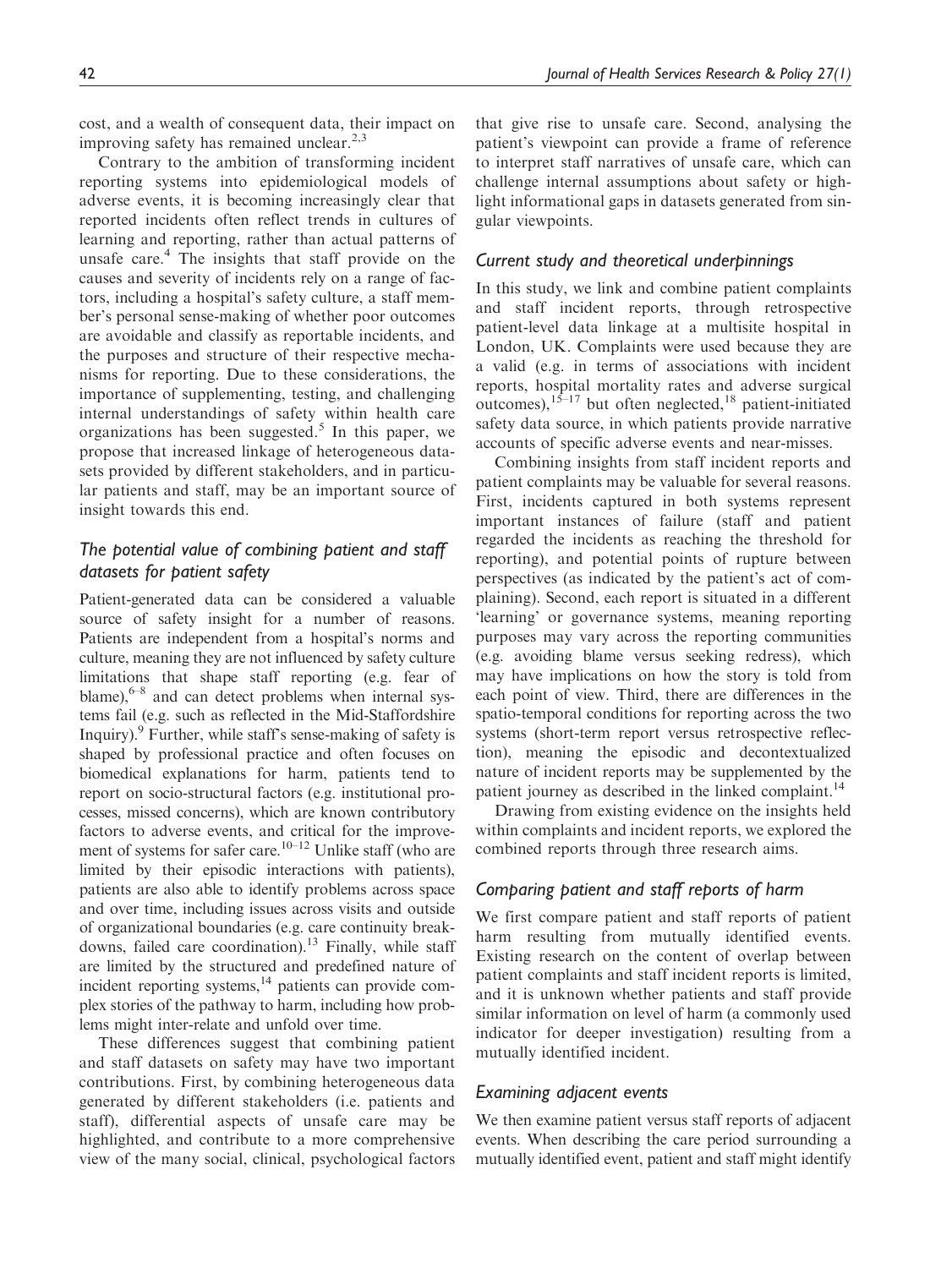cost, and a wealth of consequent data, their impact on improving safety has remained unclear.<sup>2,3</sup>

Contrary to the ambition of transforming incident reporting systems into epidemiological models of adverse events, it is becoming increasingly clear that reported incidents often reflect trends in cultures of learning and reporting, rather than actual patterns of unsafe care. $4$  The insights that staff provide on the causes and severity of incidents rely on a range of factors, including a hospital's safety culture, a staff member's personal sense-making of whether poor outcomes are avoidable and classify as reportable incidents, and the purposes and structure of their respective mechanisms for reporting. Due to these considerations, the importance of supplementing, testing, and challenging internal understandings of safety within health care organizations has been suggested.<sup>5</sup> In this paper, we propose that increased linkage of heterogeneous datasets provided by different stakeholders, and in particular patients and staff, may be an important source of insight towards this end.

# The potential value of combining patient and staff datasets for patient safety

Patient-generated data can be considered a valuable source of safety insight for a number of reasons. Patients are independent from a hospital's norms and culture, meaning they are not influenced by safety culture limitations that shape staff reporting (e.g. fear of blame), $6-8$  and can detect problems when internal systems fail (e.g. such as reflected in the Mid-Staffordshire Inquiry).9 Further, while staff's sense-making of safety is shaped by professional practice and often focuses on biomedical explanations for harm, patients tend to report on socio-structural factors (e.g. institutional processes, missed concerns), which are known contributory factors to adverse events, and critical for the improvement of systems for safer care.<sup>10–12</sup> Unlike staff (who are limited by their episodic interactions with patients), patients are also able to identify problems across space and over time, including issues across visits and outside of organizational boundaries (e.g. care continuity breakdowns, failed care coordination).<sup>13</sup> Finally, while staff are limited by the structured and predefined nature of incident reporting systems, $^{14}$  patients can provide complex stories of the pathway to harm, including how problems might inter-relate and unfold over time.

These differences suggest that combining patient and staff datasets on safety may have two important contributions. First, by combining heterogeneous data generated by different stakeholders (i.e. patients and staff), differential aspects of unsafe care may be highlighted, and contribute to a more comprehensive view of the many social, clinical, psychological factors that give rise to unsafe care. Second, analysing the patient's viewpoint can provide a frame of reference to interpret staff narratives of unsafe care, which can challenge internal assumptions about safety or highlight informational gaps in datasets generated from singular viewpoints.

# Current study and theoretical underpinnings

In this study, we link and combine patient complaints and staff incident reports, through retrospective patient-level data linkage at a multisite hospital in London, UK. Complaints were used because they are a valid (e.g. in terms of associations with incident reports, hospital mortality rates and adverse surgical outcomes),  $1^{5-17}$  but often neglected, <sup>18</sup> patient-initiated safety data source, in which patients provide narrative accounts of specific adverse events and near-misses.

Combining insights from staff incident reports and patient complaints may be valuable for several reasons. First, incidents captured in both systems represent important instances of failure (staff and patient regarded the incidents as reaching the threshold for reporting), and potential points of rupture between perspectives (as indicated by the patient's act of complaining). Second, each report is situated in a different 'learning' or governance systems, meaning reporting purposes may vary across the reporting communities (e.g. avoiding blame versus seeking redress), which may have implications on how the story is told from each point of view. Third, there are differences in the spatio-temporal conditions for reporting across the two systems (short-term report versus retrospective reflection), meaning the episodic and decontextualized nature of incident reports may be supplemented by the patient journey as described in the linked complaint.<sup>14</sup>

Drawing from existing evidence on the insights held within complaints and incident reports, we explored the combined reports through three research aims.

# Comparing patient and staff reports of harm

We first compare patient and staff reports of patient harm resulting from mutually identified events. Existing research on the content of overlap between patient complaints and staff incident reports is limited, and it is unknown whether patients and staff provide similar information on level of harm (a commonly used indicator for deeper investigation) resulting from a mutually identified incident.

## Examining adjacent events

We then examine patient versus staff reports of adjacent events. When describing the care period surrounding a mutually identified event, patient and staff might identify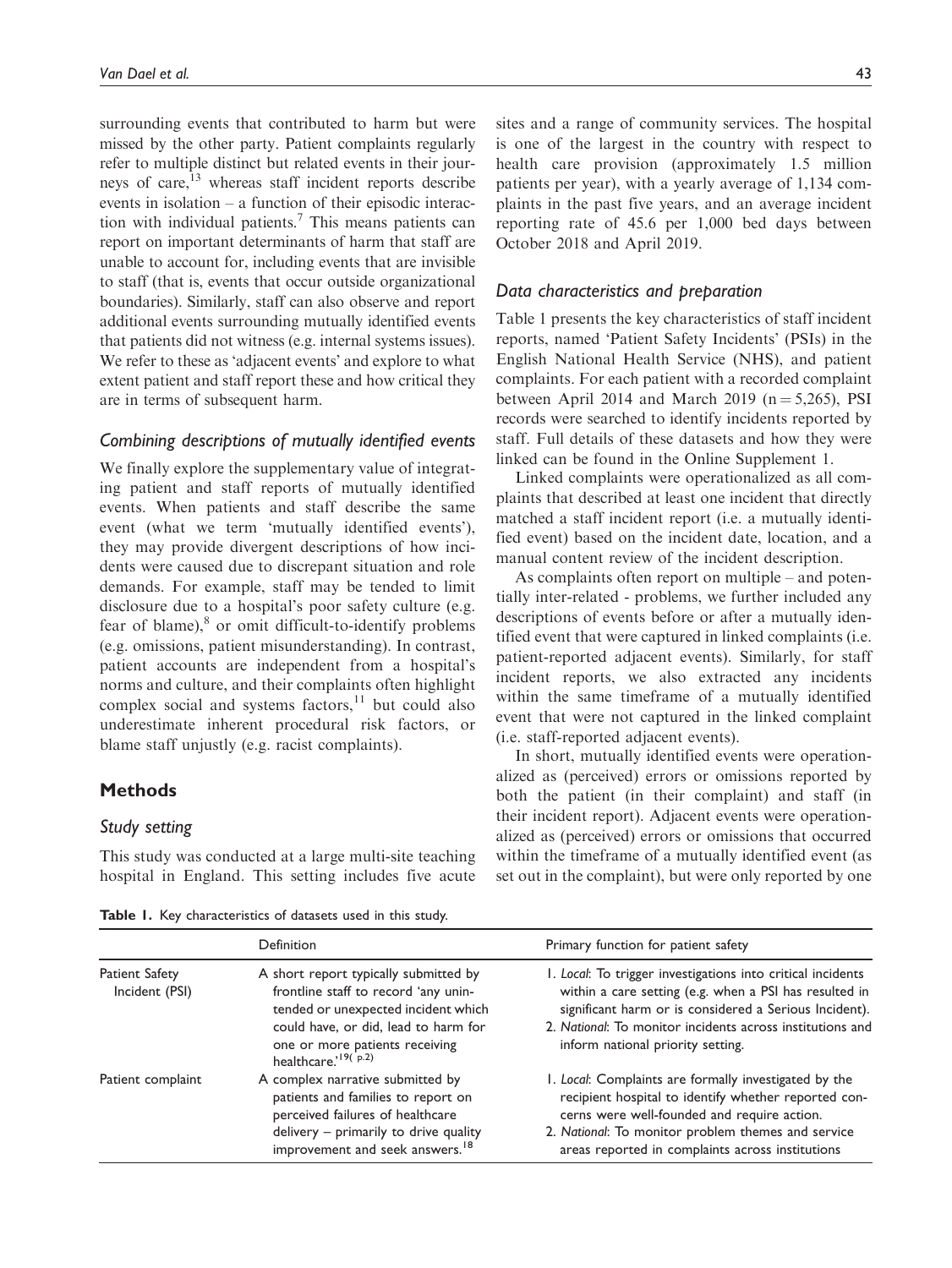surrounding events that contributed to harm but were missed by the other party. Patient complaints regularly refer to multiple distinct but related events in their journeys of care,<sup>13</sup> whereas staff incident reports describe events in isolation – a function of their episodic interaction with individual patients.7 This means patients can report on important determinants of harm that staff are unable to account for, including events that are invisible to staff (that is, events that occur outside organizational boundaries). Similarly, staff can also observe and report additional events surrounding mutually identified events that patients did not witness (e.g. internal systems issues). We refer to these as 'adjacent events' and explore to what extent patient and staff report these and how critical they are in terms of subsequent harm.

## Combining descriptions of mutually identified events

We finally explore the supplementary value of integrating patient and staff reports of mutually identified events. When patients and staff describe the same event (what we term 'mutually identified events'), they may provide divergent descriptions of how incidents were caused due to discrepant situation and role demands. For example, staff may be tended to limit disclosure due to a hospital's poor safety culture (e.g. fear of blame), $\delta$  or omit difficult-to-identify problems (e.g. omissions, patient misunderstanding). In contrast, patient accounts are independent from a hospital's norms and culture, and their complaints often highlight complex social and systems factors, $^{11}$  but could also underestimate inherent procedural risk factors, or blame staff unjustly (e.g. racist complaints).

# Methods

## Study setting

This study was conducted at a large multi-site teaching hospital in England. This setting includes five acute sites and a range of community services. The hospital is one of the largest in the country with respect to health care provision (approximately 1.5 million patients per year), with a yearly average of 1,134 complaints in the past five years, and an average incident reporting rate of 45.6 per 1,000 bed days between October 2018 and April 2019.

#### Data characteristics and preparation

Table 1 presents the key characteristics of staff incident reports, named 'Patient Safety Incidents' (PSIs) in the English National Health Service (NHS), and patient complaints. For each patient with a recorded complaint between April 2014 and March 2019 ( $n = 5,265$ ), PSI records were searched to identify incidents reported by staff. Full details of these datasets and how they were linked can be found in the Online Supplement 1.

Linked complaints were operationalized as all complaints that described at least one incident that directly matched a staff incident report (i.e. a mutually identified event) based on the incident date, location, and a manual content review of the incident description.

As complaints often report on multiple – and potentially inter-related - problems, we further included any descriptions of events before or after a mutually identified event that were captured in linked complaints (i.e. patient-reported adjacent events). Similarly, for staff incident reports, we also extracted any incidents within the same timeframe of a mutually identified event that were not captured in the linked complaint (i.e. staff-reported adjacent events).

In short, mutually identified events were operationalized as (perceived) errors or omissions reported by both the patient (in their complaint) and staff (in their incident report). Adjacent events were operationalized as (perceived) errors or omissions that occurred within the timeframe of a mutually identified event (as set out in the complaint), but were only reported by one

Table 1. Key characteristics of datasets used in this study.

|                                  | Definition                                                                                                                                                                                         | Primary function for patient safety                                                                                                                                                                                                                                               |
|----------------------------------|----------------------------------------------------------------------------------------------------------------------------------------------------------------------------------------------------|-----------------------------------------------------------------------------------------------------------------------------------------------------------------------------------------------------------------------------------------------------------------------------------|
| Patient Safety<br>Incident (PSI) | A short report typically submitted by<br>frontline staff to record 'any unin-<br>tended or unexpected incident which<br>could have, or did, lead to harm for                                       | I. Local: To trigger investigations into critical incidents<br>within a care setting (e.g. when a PSI has resulted in<br>significant harm or is considered a Serious Incident).<br>2. National: To monitor incidents across institutions and<br>inform national priority setting. |
|                                  | one or more patients receiving<br>healthcare. <sup>19(p.2)</sup>                                                                                                                                   |                                                                                                                                                                                                                                                                                   |
| Patient complaint                | A complex narrative submitted by<br>patients and families to report on<br>perceived failures of healthcare<br>delivery - primarily to drive quality<br>improvement and seek answers. <sup>18</sup> | I. Local: Complaints are formally investigated by the<br>recipient hospital to identify whether reported con-<br>cerns were well-founded and require action.<br>2. National: To monitor problem themes and service<br>areas reported in complaints across institutions            |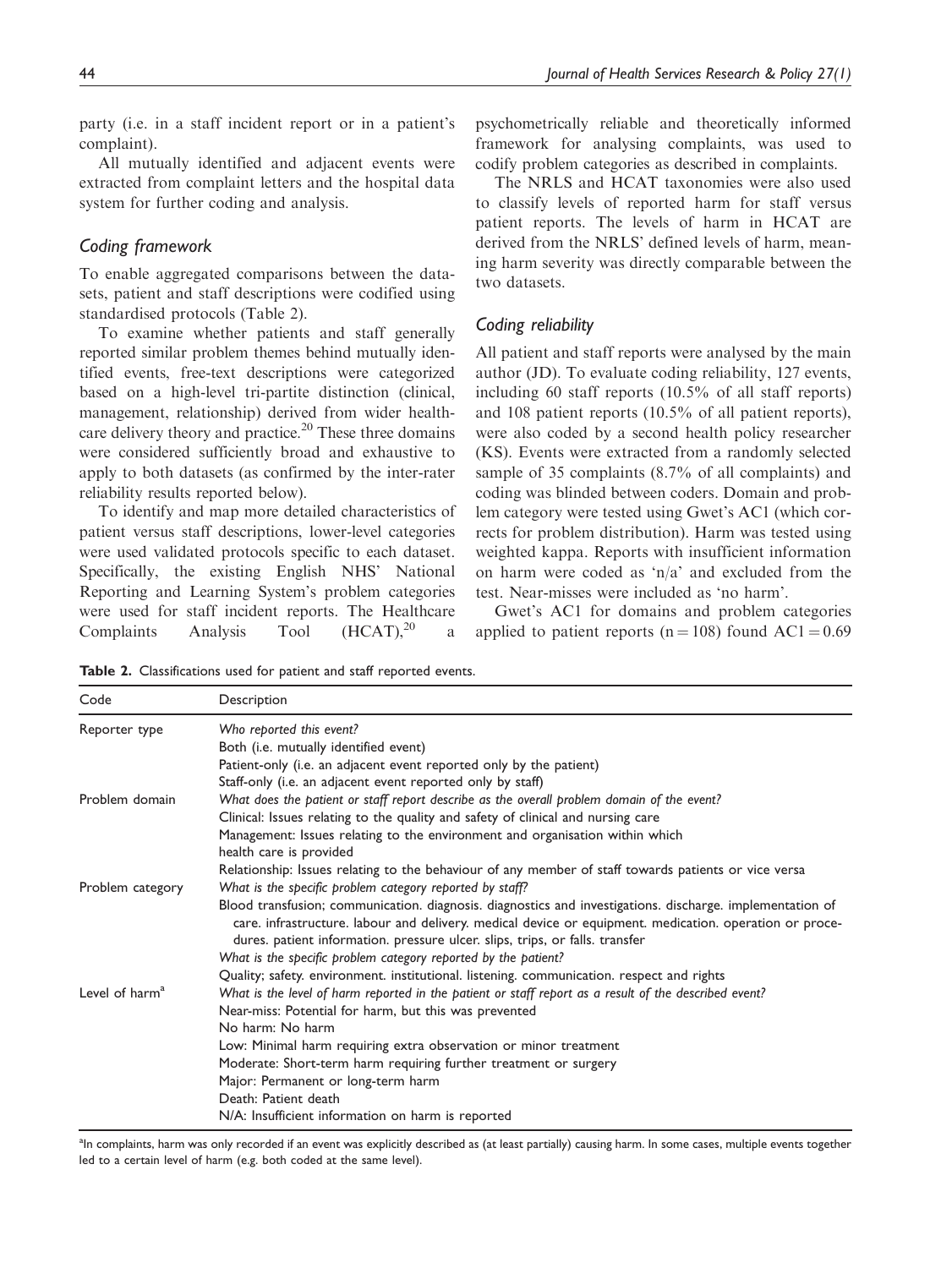party (i.e. in a staff incident report or in a patient's complaint).

All mutually identified and adjacent events were extracted from complaint letters and the hospital data system for further coding and analysis.

# Coding framework

To enable aggregated comparisons between the datasets, patient and staff descriptions were codified using standardised protocols (Table 2).

To examine whether patients and staff generally reported similar problem themes behind mutually identified events, free-text descriptions were categorized based on a high-level tri-partite distinction (clinical, management, relationship) derived from wider healthcare delivery theory and practice.<sup>20</sup> These three domains were considered sufficiently broad and exhaustive to apply to both datasets (as confirmed by the inter-rater reliability results reported below).

To identify and map more detailed characteristics of patient versus staff descriptions, lower-level categories were used validated protocols specific to each dataset. Specifically, the existing English NHS' National Reporting and Learning System's problem categories were used for staff incident reports. The Healthcare Complaints Analysis Tool  $(HCAT),^{20}$  a psychometrically reliable and theoretically informed framework for analysing complaints, was used to codify problem categories as described in complaints.

The NRLS and HCAT taxonomies were also used to classify levels of reported harm for staff versus patient reports. The levels of harm in HCAT are derived from the NRLS' defined levels of harm, meaning harm severity was directly comparable between the two datasets.

## Coding reliability

All patient and staff reports were analysed by the main author (JD). To evaluate coding reliability, 127 events, including 60 staff reports (10.5% of all staff reports) and 108 patient reports (10.5% of all patient reports), were also coded by a second health policy researcher (KS). Events were extracted from a randomly selected sample of 35 complaints (8.7% of all complaints) and coding was blinded between coders. Domain and problem category were tested using Gwet's AC1 (which corrects for problem distribution). Harm was tested using weighted kappa. Reports with insufficient information on harm were coded as 'n/a' and excluded from the test. Near-misses were included as 'no harm'.

Gwet's AC1 for domains and problem categories applied to patient reports ( $n = 108$ ) found AC1 = 0.69

Table 2. Classifications used for patient and staff reported events.

| Code                       | Description                                                                                                                                                                                                                                                                                          |  |
|----------------------------|------------------------------------------------------------------------------------------------------------------------------------------------------------------------------------------------------------------------------------------------------------------------------------------------------|--|
| Reporter type              | Who reported this event?                                                                                                                                                                                                                                                                             |  |
|                            | Both (i.e. mutually identified event)                                                                                                                                                                                                                                                                |  |
|                            | Patient-only (i.e. an adjacent event reported only by the patient)                                                                                                                                                                                                                                   |  |
|                            | Staff-only (i.e. an adjacent event reported only by staff)                                                                                                                                                                                                                                           |  |
| Problem domain             | What does the patient or staff report describe as the overall problem domain of the event?                                                                                                                                                                                                           |  |
|                            | Clinical: Issues relating to the quality and safety of clinical and nursing care                                                                                                                                                                                                                     |  |
|                            | Management: Issues relating to the environment and organisation within which                                                                                                                                                                                                                         |  |
|                            | health care is provided                                                                                                                                                                                                                                                                              |  |
|                            | Relationship: Issues relating to the behaviour of any member of staff towards patients or vice versa                                                                                                                                                                                                 |  |
| Problem category           | What is the specific problem category reported by staff?                                                                                                                                                                                                                                             |  |
|                            | Blood transfusion; communication. diagnosis. diagnostics and investigations. discharge. implementation of<br>care. infrastructure. labour and delivery. medical device or equipment. medication. operation or proce-<br>dures. patient information. pressure ulcer. slips, trips, or falls. transfer |  |
|                            | What is the specific problem category reported by the patient?                                                                                                                                                                                                                                       |  |
|                            | Quality; safety. environment. institutional. listening. communication. respect and rights                                                                                                                                                                                                            |  |
| Level of harm <sup>a</sup> | What is the level of harm reported in the patient or staff report as a result of the described event?                                                                                                                                                                                                |  |
|                            | Near-miss: Potential for harm, but this was prevented                                                                                                                                                                                                                                                |  |
|                            | No harm: No harm                                                                                                                                                                                                                                                                                     |  |
|                            | Low: Minimal harm requiring extra observation or minor treatment                                                                                                                                                                                                                                     |  |
|                            | Moderate: Short-term harm requiring further treatment or surgery                                                                                                                                                                                                                                     |  |
|                            | Major: Permanent or long-term harm                                                                                                                                                                                                                                                                   |  |
|                            | Death: Patient death                                                                                                                                                                                                                                                                                 |  |
|                            | N/A: Insufficient information on harm is reported                                                                                                                                                                                                                                                    |  |

<sup>a</sup>In complaints, harm was only recorded if an event was explicitly described as (at least partially) causing harm. In some cases, multiple events together led to a certain level of harm (e.g. both coded at the same level).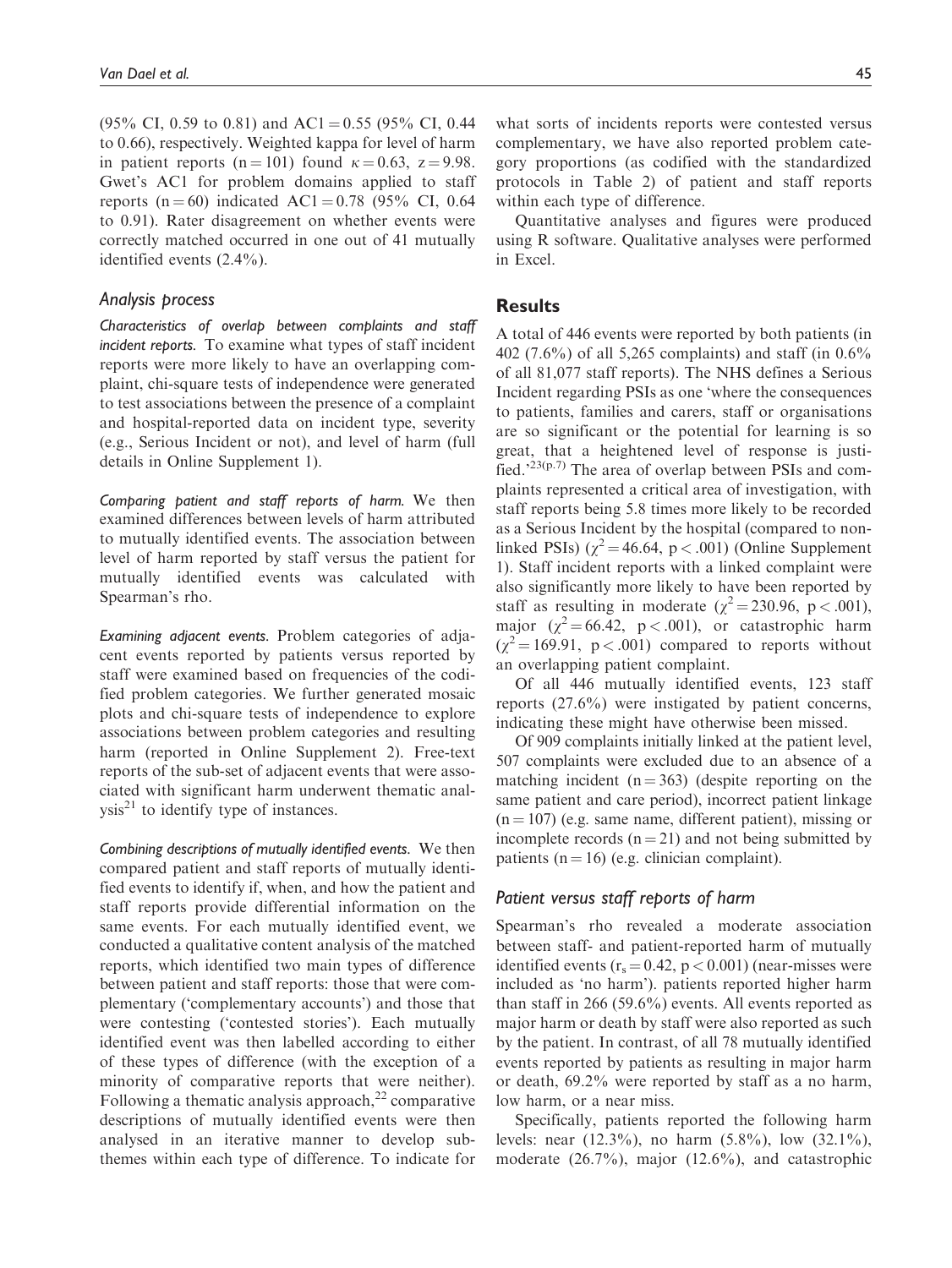(95% CI, 0.59 to 0.81) and AC1 = 0.55 (95% CI, 0.44 to 0.66), respectively. Weighted kappa for level of harm in patient reports (n = 101) found  $\kappa = 0.63$ , z = 9.98. Gwet's AC1 for problem domains applied to staff reports (n = 60) indicated AC1 = 0.78 (95% CI, 0.64 to 0.91). Rater disagreement on whether events were correctly matched occurred in one out of 41 mutually identified events (2.4%).

## Analysis process

Characteristics of overlap between complaints and staff incident reports. To examine what types of staff incident reports were more likely to have an overlapping complaint, chi-square tests of independence were generated to test associations between the presence of a complaint and hospital-reported data on incident type, severity (e.g., Serious Incident or not), and level of harm (full details in Online Supplement 1).

Comparing patient and staff reports of harm. We then examined differences between levels of harm attributed to mutually identified events. The association between level of harm reported by staff versus the patient for mutually identified events was calculated with Spearman's rho.

Examining adjacent events. Problem categories of adjacent events reported by patients versus reported by staff were examined based on frequencies of the codified problem categories. We further generated mosaic plots and chi-square tests of independence to explore associations between problem categories and resulting harm (reported in Online Supplement 2). Free-text reports of the sub-set of adjacent events that were associated with significant harm underwent thematic anal $y\sin^{21}$  to identify type of instances.

Combining descriptions of mutually identified events. We then compared patient and staff reports of mutually identified events to identify if, when, and how the patient and staff reports provide differential information on the same events. For each mutually identified event, we conducted a qualitative content analysis of the matched reports, which identified two main types of difference between patient and staff reports: those that were complementary ('complementary accounts') and those that were contesting ('contested stories'). Each mutually identified event was then labelled according to either of these types of difference (with the exception of a minority of comparative reports that were neither). Following a thematic analysis approach, $^{22}$  comparative descriptions of mutually identified events were then analysed in an iterative manner to develop subthemes within each type of difference. To indicate for what sorts of incidents reports were contested versus complementary, we have also reported problem category proportions (as codified with the standardized protocols in Table 2) of patient and staff reports within each type of difference.

Quantitative analyses and figures were produced using R software. Qualitative analyses were performed in Excel.

# **Results**

A total of 446 events were reported by both patients (in 402 (7.6%) of all 5,265 complaints) and staff (in 0.6% of all 81,077 staff reports). The NHS defines a Serious Incident regarding PSIs as one 'where the consequences to patients, families and carers, staff or organisations are so significant or the potential for learning is so great, that a heightened level of response is justified.<sup>23(p.7)</sup> The area of overlap between PSIs and complaints represented a critical area of investigation, with staff reports being 5.8 times more likely to be recorded as a Serious Incident by the hospital (compared to nonlinked PSIs) ( $\chi^2$  = 46.64, p < .001) (Online Supplement 1). Staff incident reports with a linked complaint were also significantly more likely to have been reported by staff as resulting in moderate ( $\chi^2$  = 230.96, p < .001), major  $(\chi^2 = 66.42, p < .001)$ , or catastrophic harm  $(\chi^2 = 169.91, p < .001)$  compared to reports without an overlapping patient complaint.

Of all 446 mutually identified events, 123 staff reports (27.6%) were instigated by patient concerns, indicating these might have otherwise been missed.

Of 909 complaints initially linked at the patient level, 507 complaints were excluded due to an absence of a matching incident  $(n = 363)$  (despite reporting on the same patient and care period), incorrect patient linkage  $(n = 107)$  (e.g. same name, different patient), missing or incomplete records  $(n = 21)$  and not being submitted by patients ( $n = 16$ ) (e.g. clinician complaint).

## Patient versus staff reports of harm

Spearman's rho revealed a moderate association between staff- and patient-reported harm of mutually identified events  $(r_s = 0.42, p < 0.001)$  (near-misses were included as 'no harm'). patients reported higher harm than staff in 266 (59.6%) events. All events reported as major harm or death by staff were also reported as such by the patient. In contrast, of all 78 mutually identified events reported by patients as resulting in major harm or death, 69.2% were reported by staff as a no harm, low harm, or a near miss.

Specifically, patients reported the following harm levels: near (12.3%), no harm (5.8%), low (32.1%), moderate (26.7%), major (12.6%), and catastrophic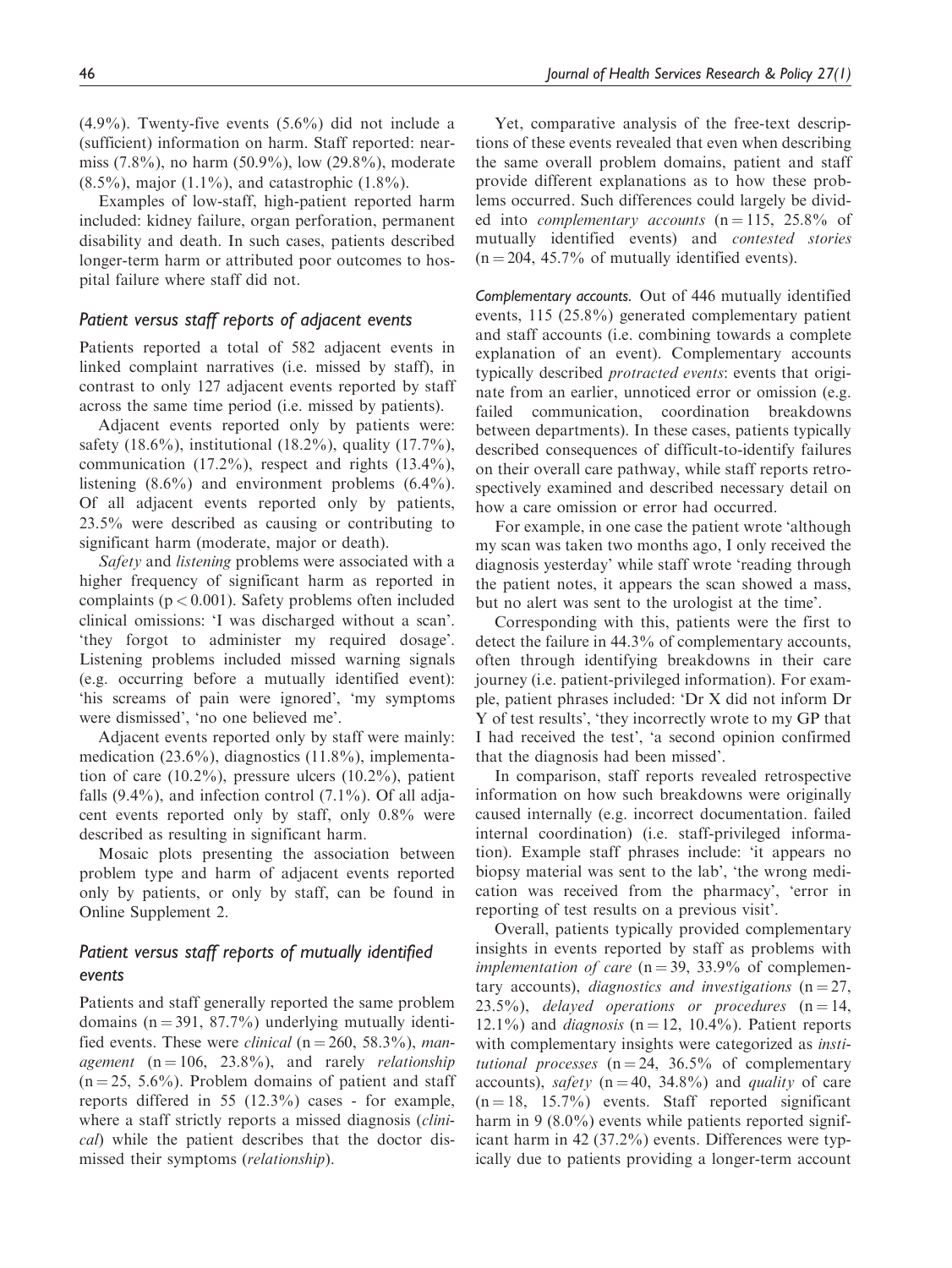$(4.9\%)$ . Twenty-five events  $(5.6\%)$  did not include a (sufficient) information on harm. Staff reported: nearmiss (7.8%), no harm (50.9%), low (29.8%), moderate  $(8.5\%)$ , major  $(1.1\%)$ , and catastrophic  $(1.8\%)$ .

Examples of low-staff, high-patient reported harm included: kidney failure, organ perforation, permanent disability and death. In such cases, patients described longer-term harm or attributed poor outcomes to hospital failure where staff did not.

# Patient versus staff reports of adjacent events

Patients reported a total of 582 adjacent events in linked complaint narratives (i.e. missed by staff), in contrast to only 127 adjacent events reported by staff across the same time period (i.e. missed by patients).

Adjacent events reported only by patients were: safety (18.6%), institutional (18.2%), quality (17.7%), communication (17.2%), respect and rights (13.4%), listening (8.6%) and environment problems (6.4%). Of all adjacent events reported only by patients, 23.5% were described as causing or contributing to significant harm (moderate, major or death).

Safety and listening problems were associated with a higher frequency of significant harm as reported in complaints ( $p < 0.001$ ). Safety problems often included clinical omissions: 'I was discharged without a scan'. 'they forgot to administer my required dosage'. Listening problems included missed warning signals (e.g. occurring before a mutually identified event): 'his screams of pain were ignored', 'my symptoms were dismissed', 'no one believed me'.

Adjacent events reported only by staff were mainly: medication (23.6%), diagnostics (11.8%), implementation of care  $(10.2\%)$ , pressure ulcers  $(10.2\%)$ , patient falls  $(9.4\%)$ , and infection control  $(7.1\%)$ . Of all adjacent events reported only by staff, only 0.8% were described as resulting in significant harm.

Mosaic plots presenting the association between problem type and harm of adjacent events reported only by patients, or only by staff, can be found in Online Supplement 2.

# Patient versus staff reports of mutually identified events

Patients and staff generally reported the same problem domains ( $n = 391, 87.7\%$ ) underlying mutually identified events. These were *clinical* ( $n = 260, 58.3\%$ ), management  $(n = 106, 23.8\%)$ , and rarely *relationship*  $(n = 25, 5.6\%)$ . Problem domains of patient and staff reports differed in 55 (12.3%) cases - for example, where a staff strictly reports a missed diagnosis *(clini*cal) while the patient describes that the doctor dismissed their symptoms (relationship).

Yet, comparative analysis of the free-text descriptions of these events revealed that even when describing the same overall problem domains, patient and staff provide different explanations as to how these problems occurred. Such differences could largely be divided into *complementary accounts*  $(n = 115, 25.8\%$  of mutually identified events) and contested stories  $(n = 204, 45.7\%$  of mutually identified events).

Complementary accounts. Out of 446 mutually identified events, 115 (25.8%) generated complementary patient and staff accounts (i.e. combining towards a complete explanation of an event). Complementary accounts typically described protracted events: events that originate from an earlier, unnoticed error or omission (e.g. failed communication, coordination breakdowns between departments). In these cases, patients typically described consequences of difficult-to-identify failures on their overall care pathway, while staff reports retrospectively examined and described necessary detail on how a care omission or error had occurred.

For example, in one case the patient wrote 'although my scan was taken two months ago, I only received the diagnosis yesterday' while staff wrote 'reading through the patient notes, it appears the scan showed a mass, but no alert was sent to the urologist at the time'.

Corresponding with this, patients were the first to detect the failure in 44.3% of complementary accounts, often through identifying breakdowns in their care journey (i.e. patient-privileged information). For example, patient phrases included: 'Dr X did not inform Dr Y of test results', 'they incorrectly wrote to my GP that I had received the test', 'a second opinion confirmed that the diagnosis had been missed'.

In comparison, staff reports revealed retrospective information on how such breakdowns were originally caused internally (e.g. incorrect documentation. failed internal coordination) (i.e. staff-privileged information). Example staff phrases include: 'it appears no biopsy material was sent to the lab', 'the wrong medication was received from the pharmacy', 'error in reporting of test results on a previous visit'.

Overall, patients typically provided complementary insights in events reported by staff as problems with *implementation of care* ( $n = 39, 33.9\%$  of complementary accounts), diagnostics and investigations  $(n = 27,$ 23.5%), delayed operations or procedures  $(n = 14,$ 12.1%) and *diagnosis* ( $n = 12$ , 10.4%). Patient reports with complementary insights were categorized as *insti*tutional processes  $(n = 24, 36.5\%$  of complementary accounts), *safety* ( $n = 40$ , 34.8%) and *quality* of care  $(n = 18, 15.7\%)$  events. Staff reported significant harm in 9 (8.0%) events while patients reported significant harm in 42 (37.2%) events. Differences were typically due to patients providing a longer-term account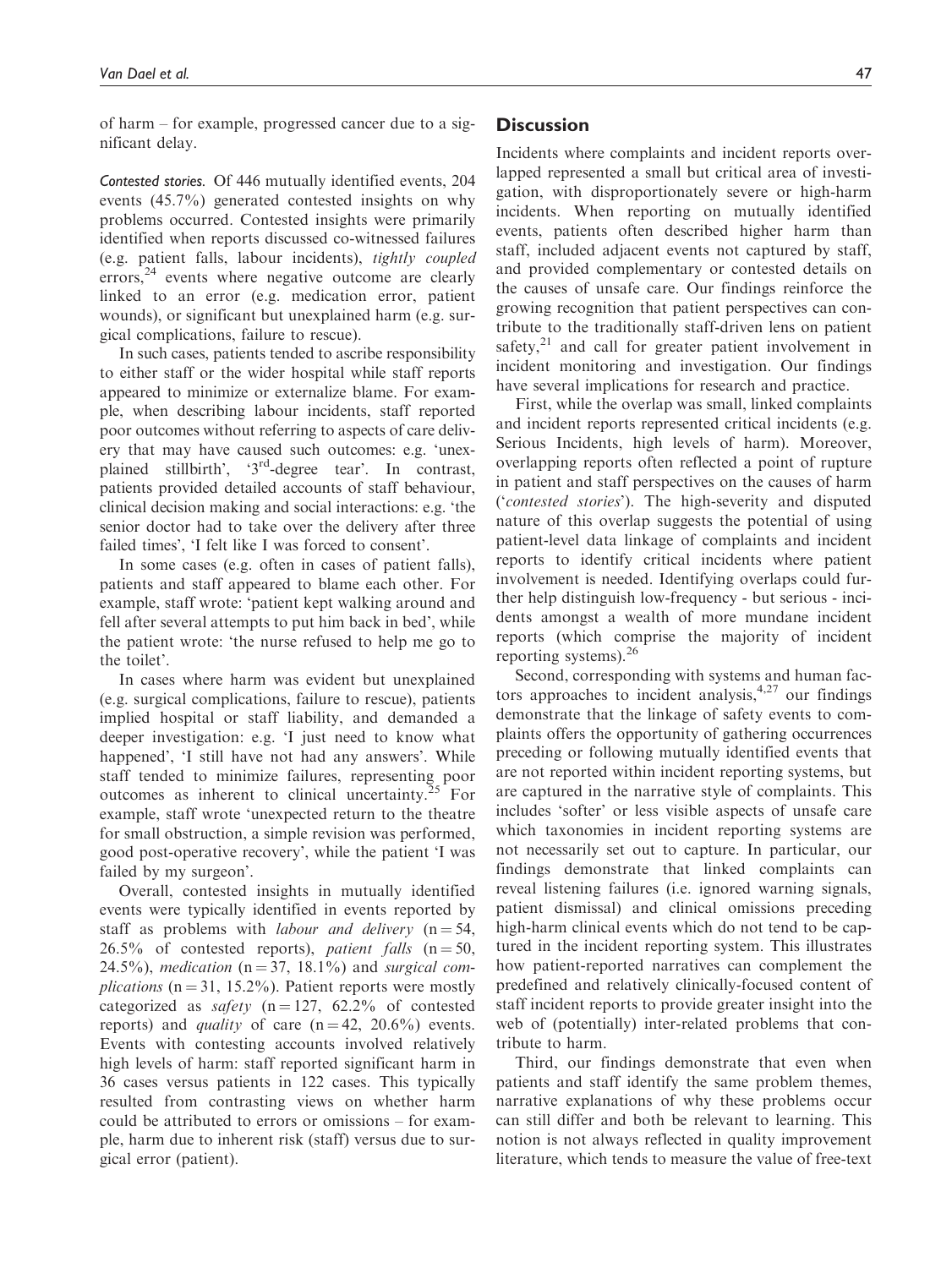of harm – for example, progressed cancer due to a significant delay.

Contested stories. Of 446 mutually identified events, 204 events (45.7%) generated contested insights on why problems occurred. Contested insights were primarily identified when reports discussed co-witnessed failures (e.g. patient falls, labour incidents), tightly coupled errors, $24$  events where negative outcome are clearly linked to an error (e.g. medication error, patient wounds), or significant but unexplained harm (e.g. surgical complications, failure to rescue).

In such cases, patients tended to ascribe responsibility to either staff or the wider hospital while staff reports appeared to minimize or externalize blame. For example, when describing labour incidents, staff reported poor outcomes without referring to aspects of care delivery that may have caused such outcomes: e.g. 'unexplained stillbirth', '3rd-degree tear'. In contrast, patients provided detailed accounts of staff behaviour, clinical decision making and social interactions: e.g. 'the senior doctor had to take over the delivery after three failed times', 'I felt like I was forced to consent'.

In some cases (e.g. often in cases of patient falls), patients and staff appeared to blame each other. For example, staff wrote: 'patient kept walking around and fell after several attempts to put him back in bed', while the patient wrote: 'the nurse refused to help me go to the toilet'.

In cases where harm was evident but unexplained (e.g. surgical complications, failure to rescue), patients implied hospital or staff liability, and demanded a deeper investigation: e.g. 'I just need to know what happened', 'I still have not had any answers'. While staff tended to minimize failures, representing poor outcomes as inherent to clinical uncertainty. $^{25}$  For example, staff wrote 'unexpected return to the theatre for small obstruction, a simple revision was performed, good post-operative recovery', while the patient 'I was failed by my surgeon'.

Overall, contested insights in mutually identified events were typically identified in events reported by staff as problems with *labour and delivery*  $(n = 54,$ 26.5% of contested reports), *patient falls*  $(n = 50,$ 24.5%), medication ( $n = 37$ , 18.1%) and surgical com*plications* ( $n = 31, 15.2\%$ ). Patient reports were mostly categorized as *safety* ( $n = 127$ , 62.2% of contested reports) and *quality* of care  $(n = 42, 20.6%)$  events. Events with contesting accounts involved relatively high levels of harm: staff reported significant harm in 36 cases versus patients in 122 cases. This typically resulted from contrasting views on whether harm could be attributed to errors or omissions – for example, harm due to inherent risk (staff) versus due to surgical error (patient).

# **Discussion**

Incidents where complaints and incident reports overlapped represented a small but critical area of investigation, with disproportionately severe or high-harm incidents. When reporting on mutually identified events, patients often described higher harm than staff, included adjacent events not captured by staff, and provided complementary or contested details on the causes of unsafe care. Our findings reinforce the growing recognition that patient perspectives can contribute to the traditionally staff-driven lens on patient safety, $2<sup>1</sup>$  and call for greater patient involvement in incident monitoring and investigation. Our findings have several implications for research and practice.

First, while the overlap was small, linked complaints and incident reports represented critical incidents (e.g. Serious Incidents, high levels of harm). Moreover, overlapping reports often reflected a point of rupture in patient and staff perspectives on the causes of harm ('contested stories'). The high-severity and disputed nature of this overlap suggests the potential of using patient-level data linkage of complaints and incident reports to identify critical incidents where patient involvement is needed. Identifying overlaps could further help distinguish low-frequency - but serious - incidents amongst a wealth of more mundane incident reports (which comprise the majority of incident reporting systems).<sup>26</sup>

Second, corresponding with systems and human factors approaches to incident analysis,  $4.27$  our findings demonstrate that the linkage of safety events to complaints offers the opportunity of gathering occurrences preceding or following mutually identified events that are not reported within incident reporting systems, but are captured in the narrative style of complaints. This includes 'softer' or less visible aspects of unsafe care which taxonomies in incident reporting systems are not necessarily set out to capture. In particular, our findings demonstrate that linked complaints can reveal listening failures (i.e. ignored warning signals, patient dismissal) and clinical omissions preceding high-harm clinical events which do not tend to be captured in the incident reporting system. This illustrates how patient-reported narratives can complement the predefined and relatively clinically-focused content of staff incident reports to provide greater insight into the web of (potentially) inter-related problems that contribute to harm.

Third, our findings demonstrate that even when patients and staff identify the same problem themes, narrative explanations of why these problems occur can still differ and both be relevant to learning. This notion is not always reflected in quality improvement literature, which tends to measure the value of free-text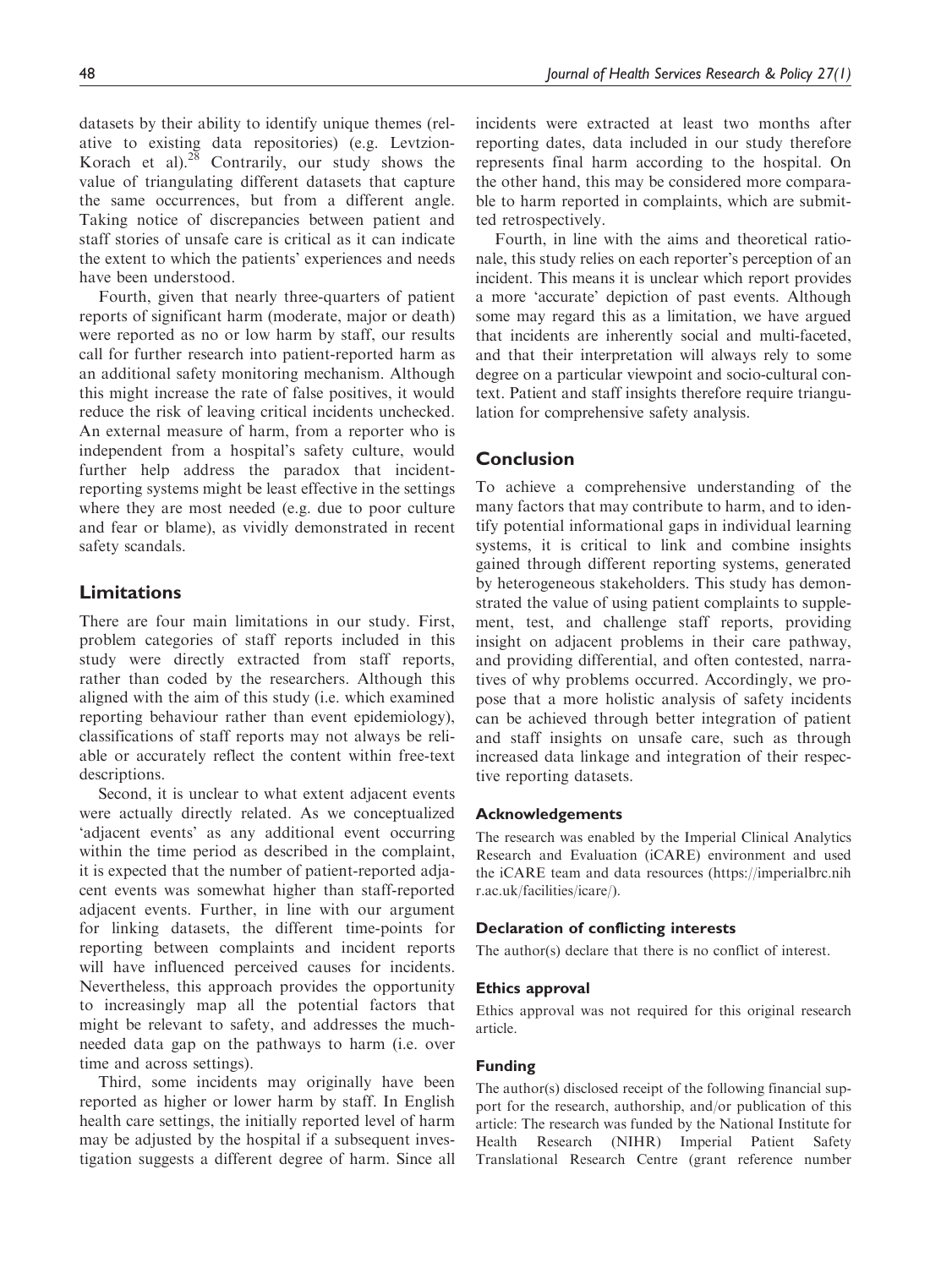datasets by their ability to identify unique themes (relative to existing data repositories) (e.g. Levtzion-Korach et al). $2\overline{8}$  Contrarily, our study shows the value of triangulating different datasets that capture the same occurrences, but from a different angle. Taking notice of discrepancies between patient and staff stories of unsafe care is critical as it can indicate the extent to which the patients' experiences and needs have been understood.

Fourth, given that nearly three-quarters of patient reports of significant harm (moderate, major or death) were reported as no or low harm by staff, our results call for further research into patient-reported harm as an additional safety monitoring mechanism. Although this might increase the rate of false positives, it would reduce the risk of leaving critical incidents unchecked. An external measure of harm, from a reporter who is independent from a hospital's safety culture, would further help address the paradox that incidentreporting systems might be least effective in the settings where they are most needed (e.g. due to poor culture and fear or blame), as vividly demonstrated in recent safety scandals.

# Limitations

There are four main limitations in our study. First, problem categories of staff reports included in this study were directly extracted from staff reports, rather than coded by the researchers. Although this aligned with the aim of this study (i.e. which examined reporting behaviour rather than event epidemiology), classifications of staff reports may not always be reliable or accurately reflect the content within free-text descriptions.

Second, it is unclear to what extent adjacent events were actually directly related. As we conceptualized 'adjacent events' as any additional event occurring within the time period as described in the complaint, it is expected that the number of patient-reported adjacent events was somewhat higher than staff-reported adjacent events. Further, in line with our argument for linking datasets, the different time-points for reporting between complaints and incident reports will have influenced perceived causes for incidents. Nevertheless, this approach provides the opportunity to increasingly map all the potential factors that might be relevant to safety, and addresses the muchneeded data gap on the pathways to harm (i.e. over time and across settings).

Third, some incidents may originally have been reported as higher or lower harm by staff. In English health care settings, the initially reported level of harm may be adjusted by the hospital if a subsequent investigation suggests a different degree of harm. Since all incidents were extracted at least two months after reporting dates, data included in our study therefore represents final harm according to the hospital. On the other hand, this may be considered more comparable to harm reported in complaints, which are submitted retrospectively.

Fourth, in line with the aims and theoretical rationale, this study relies on each reporter's perception of an incident. This means it is unclear which report provides a more 'accurate' depiction of past events. Although some may regard this as a limitation, we have argued that incidents are inherently social and multi-faceted, and that their interpretation will always rely to some degree on a particular viewpoint and socio-cultural context. Patient and staff insights therefore require triangulation for comprehensive safety analysis.

# Conclusion

To achieve a comprehensive understanding of the many factors that may contribute to harm, and to identify potential informational gaps in individual learning systems, it is critical to link and combine insights gained through different reporting systems, generated by heterogeneous stakeholders. This study has demonstrated the value of using patient complaints to supplement, test, and challenge staff reports, providing insight on adjacent problems in their care pathway, and providing differential, and often contested, narratives of why problems occurred. Accordingly, we propose that a more holistic analysis of safety incidents can be achieved through better integration of patient and staff insights on unsafe care, such as through increased data linkage and integration of their respective reporting datasets.

## Acknowledgements

The research was enabled by the Imperial Clinical Analytics Research and Evaluation (iCARE) environment and used the iCARE team and data resources (https://imperialbrc.nih r.ac.uk/facilities/icare/).

#### Declaration of conflicting interests

The author(s) declare that there is no conflict of interest.

#### Ethics approval

Ethics approval was not required for this original research article.

#### Funding

The author(s) disclosed receipt of the following financial support for the research, authorship, and/or publication of this article: The research was funded by the National Institute for Health Research (NIHR) Imperial Patient Safety Translational Research Centre (grant reference number